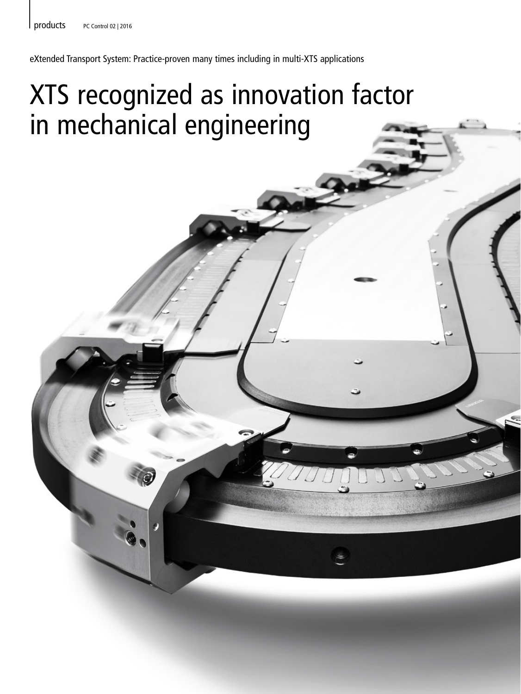eXtended Transport System: Practice-proven many times including in multi-XTS applications

## XTS recognized as innovation factor in mechanical engineering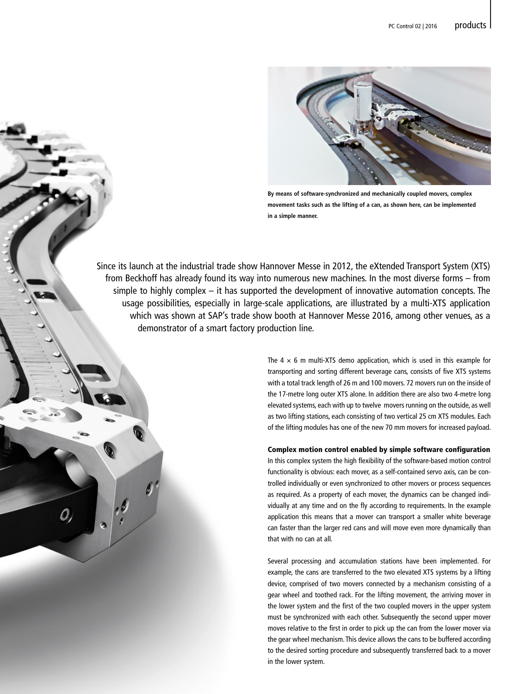|



**By means of software-synchronized and mechanically coupled movers, complex movement tasks such as the lifting of a can, as shown here, can be implemented in a simple manner.**

Since its launch at the industrial trade show Hannover Messe in 2012, the eXtended Transport System (XTS) from Beckhoff has already found its way into numerous new machines. In the most diverse forms – from simple to highly complex – it has supported the development of innovative automation concepts. The usage possibilities, especially in large-scale applications, are illustrated by a multi-XTS application which was shown at SAP's trade show booth at Hannover Messe 2016, among other venues, as a demonstrator of a smart factory production line.

O,

The  $4 \times 6$  m multi-XTS demo application, which is used in this example for transporting and sorting different beverage cans, consists of five XTS systems with a total track length of 26 m and 100 movers. 72 movers run on the inside of the 17-metre long outer XTS alone. In addition there are also two 4-metre long elevated systems, each with up to twelve movers running on the outside, as well as two lifting stations, each consisting of two vertical 25 cm XTS modules. Each of the lifting modules has one of the new 70 mm movers for increased payload.

Complex motion control enabled by simple software configuration In this complex system the high flexibility of the software-based motion control functionality is obvious: each mover, as a self-contained servo axis, can be controlled individually or even synchronized to other movers or process sequences as required. As a property of each mover, the dynamics can be changed individually at any time and on the fly according to requirements. In the example application this means that a mover can transport a smaller white beverage can faster than the larger red cans and will move even more dynamically than that with no can at all.

Several processing and accumulation stations have been implemented. For example, the cans are transferred to the two elevated XTS systems by a lifting device, comprised of two movers connected by a mechanism consisting of a gear wheel and toothed rack. For the lifting movement, the arriving mover in the lower system and the first of the two coupled movers in the upper system must be synchronized with each other. Subsequently the second upper mover moves relative to the first in order to pick up the can from the lower mover via the gear wheel mechanism. This device allows the cans to be buffered according to the desired sorting procedure and subsequently transferred back to a mover in the lower system.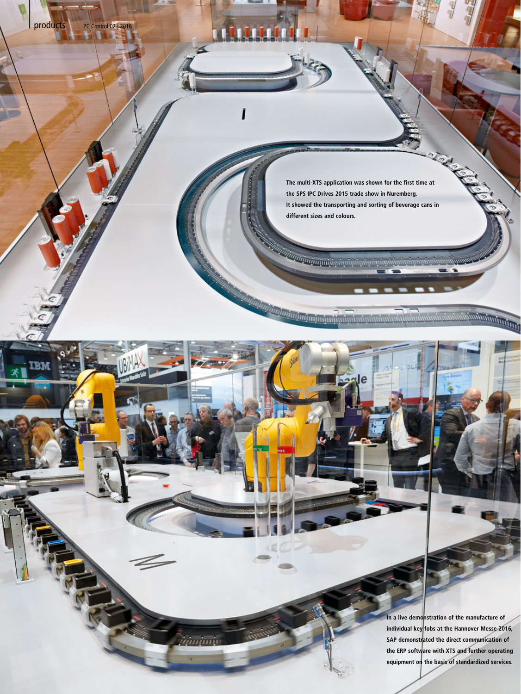**The multi-XTS application was shown for the first time at the SPS IPC Drives 2015 trade show in Nuremberg. It showed the transporting and sorting of beverage cans in different sizes and colours.**

ale

*inim*ini

products PC Control 02 | 2016

met

**In a live demonstration of the manufacture of individual key fobs at the Hannover Messe 2016, SAP demonstrated the direct communication of the ERP software with XTS and further operating equipment on the basis of standardized services.** 

ipainntumment